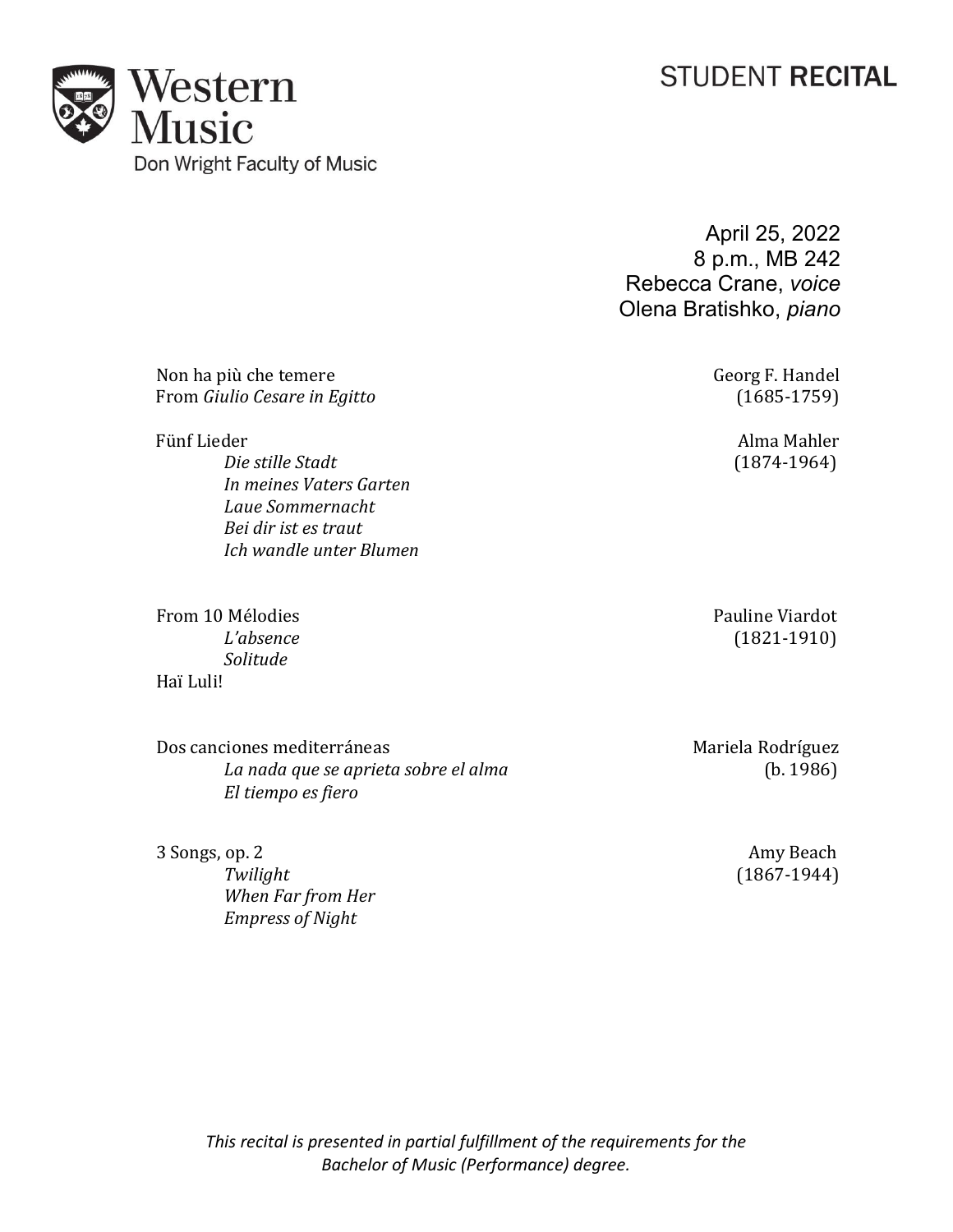# **STUDENT RECITAL**



April 25, 2022 8 p.m., MB 242 Rebecca Crane, *voice* Olena Bratishko, *piano*

Non ha più che temereGeorg F. Handel From *Giulio Cesare* in *Egitto* 

*Die stille Stadt* (1874-1964) *In meines Vaters Garten Laue Sommernacht Bei dir ist es traut Ich wandle unter Blumen*

From 10 Mélodies Pauline Viardot Pauline Viardot Pauline Viardot Pauline Viardot Pauline Viardot (1821-1910) *Solitude*  Haï Luli!

Dos canciones mediterráneas<br> *La nada que se aprieta sobre el alma* (b. 1986) La nada que se aprieta sobre el alma *El tiempo es fiero*

*When Far from Her Empress of Night*

Fünf Lieder Alma Mahler

*L'absence* (1821-1910)

3 Songs, op. 2 Amy Beach<br>Twilight (1867-1944) *Twilight* (1867-1944)

*This recital is presented in partial fulfillment of the requirements for the Bachelor of Music (Performance) degree.*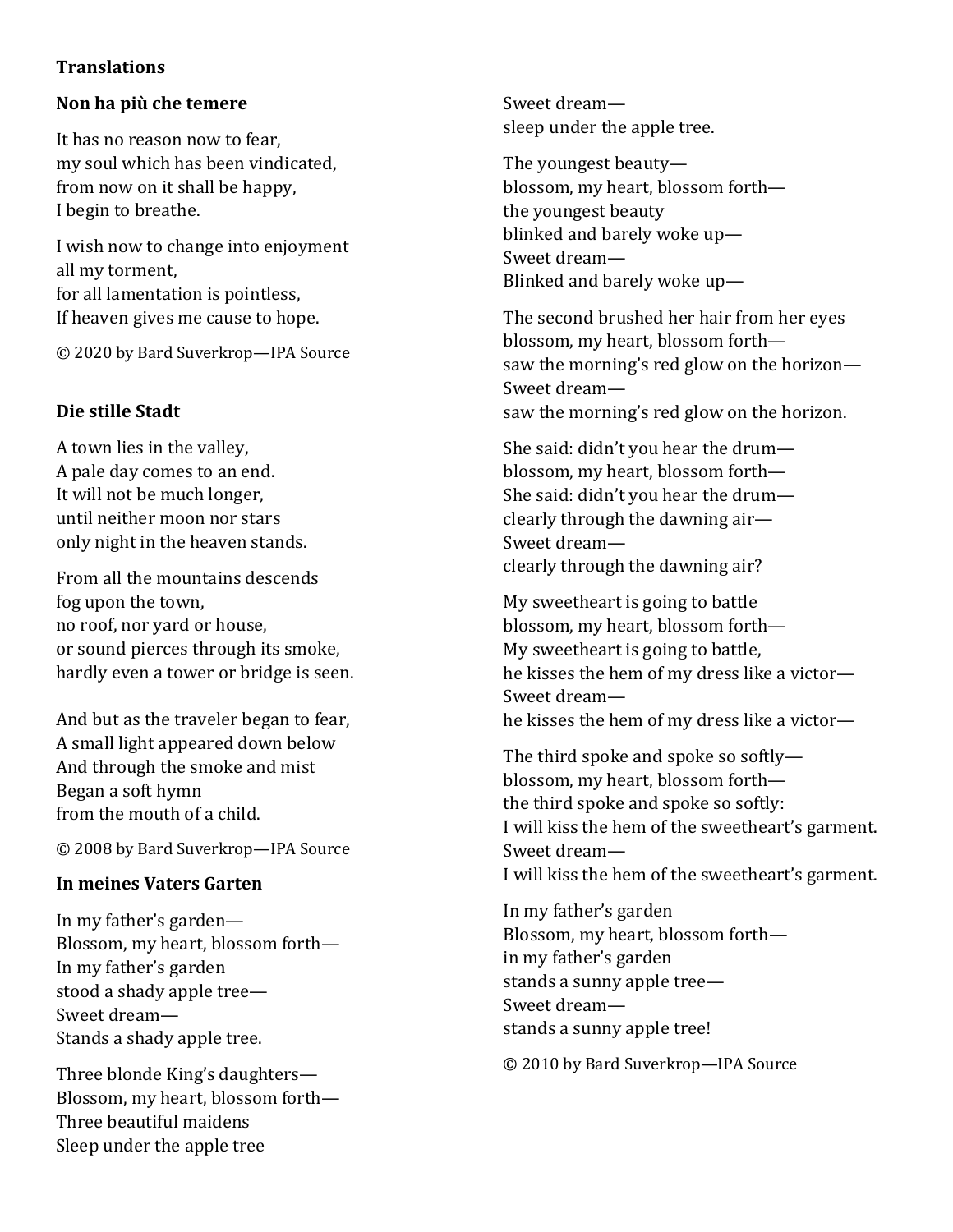## **Translations**

## Non ha più che temere

It has no reason now to fear, my soul which has been vindicated, from now on it shall be happy, I begin to breathe.

I wish now to change into enjoyment all my torment, for all lamentation is pointless, If heaven gives me cause to hope.

© 2020 by Bard Suverkrop—IPA Source

## Die stille Stadt

A town lies in the valley, A pale day comes to an end. It will not be much longer, until neither moon nor stars only night in the heaven stands.

From all the mountains descends fog upon the town, no roof, nor yard or house, or sound pierces through its smoke, hardly even a tower or bridge is seen.

And but as the traveler began to fear, A small light appeared down below And through the smoke and mist Began a soft hymn from the mouth of a child.

© 2008 by Bard Suverkrop—IPA Source

## In meines Vaters Garten

In my father's garden— Blossom, my heart, blossom forth— In my father's garden stood a shady apple tree— Sweet dream— Stands a shady apple tree.

Three blonde King's daughters— Blossom, my heart, blossom forth— Three beautiful maidens Sleep under the apple tree

Sweet dream sleep under the apple tree.

The youngest beauty blossom, my heart, blossom forth the youngest beauty blinked and barely woke up— Sweet dream— Blinked and barely woke up—

The second brushed her hair from her eyes blossom, my heart, blossom forth saw the morning's red glow on the horizon— Sweet dream saw the morning's red glow on the horizon.

She said: didn't you hear the drum blossom, my heart, blossom forth— She said: didn't you hear the drum clearly through the dawning air— Sweet dream clearly through the dawning air?

My sweetheart is going to battle blossom, my heart, blossom forth— My sweetheart is going to battle, he kisses the hem of my dress like a victor— Sweet dream he kisses the hem of my dress like a victor—

The third spoke and spoke so softly blossom, my heart, blossom forth the third spoke and spoke so softly: I will kiss the hem of the sweetheart's garment. Sweet dream— I will kiss the hem of the sweetheart's garment.

In my father's garden Blossom, my heart, blossom forth in my father's garden stands a sunny apple tree— Sweet dream stands a sunny apple tree!

© 2010 by Bard Suverkrop—IPA Source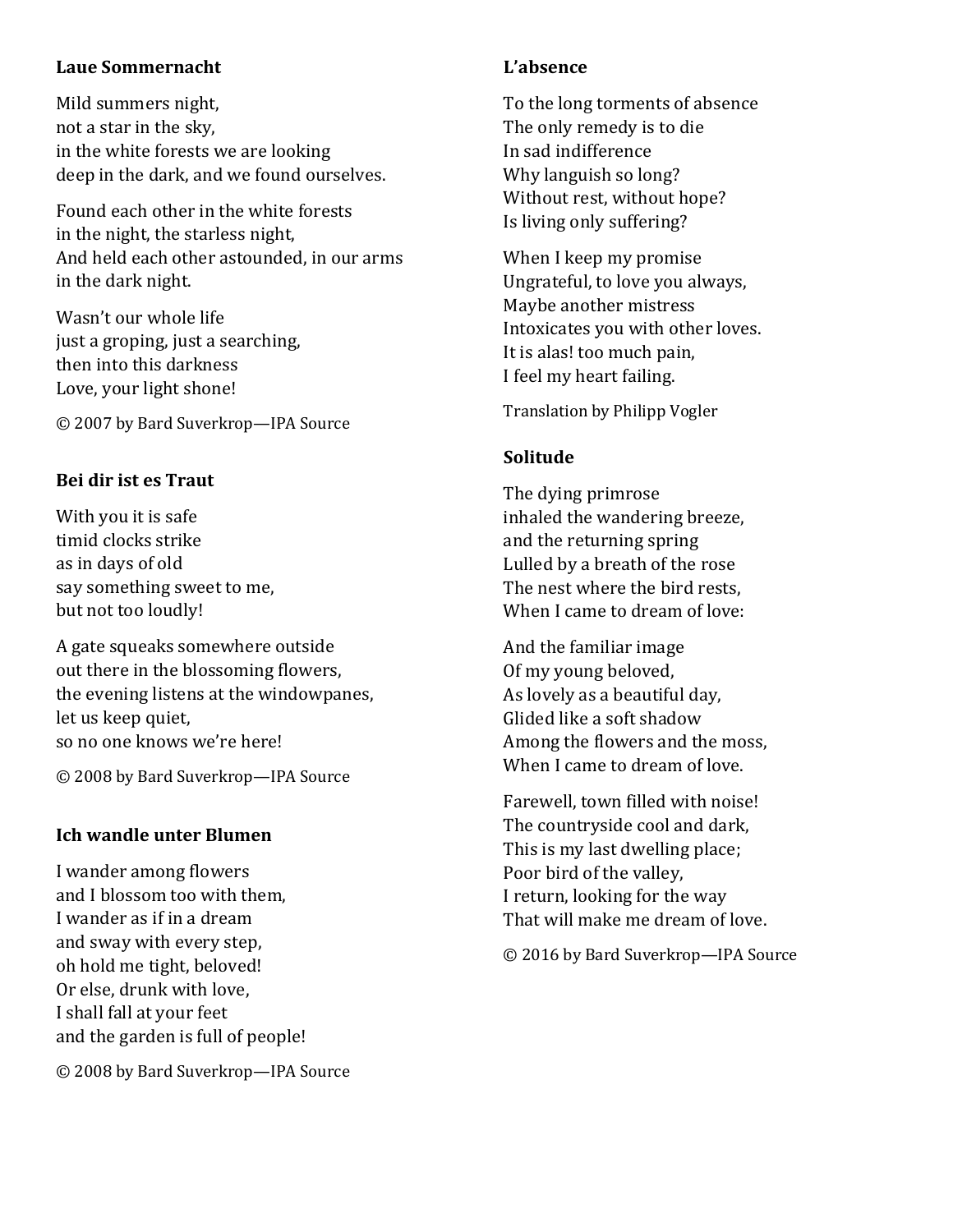## Laue Sommernacht

Mild summers night, not a star in the sky, in the white forests we are looking deep in the dark, and we found ourselves.

Found each other in the white forests in the night, the starless night, And held each other astounded, in our arms in the dark night.

Wasn't our whole life just a groping, just a searching, then into this darkness Love, your light shone!

© 2007 by Bard Suverkrop—IPA Source

## Bei dir ist es Traut

With you it is safe timid clocks strike as in days of old say something sweet to me, but not too loudly!

A gate squeaks somewhere outside out there in the blossoming flowers, the evening listens at the windowpanes, let us keep quiet, so no one knows we're here!

© 2008 by Bard Suverkrop—IPA Source

## Ich wandle unter Blumen

I wander among flowers and I blossom too with them, I wander as if in a dream and sway with every step, oh hold me tight, beloved! Or else, drunk with love, I shall fall at your feet and the garden is full of people!

© 2008 by Bard Suverkrop—IPA Source

# L'absence

To the long torments of absence The only remedy is to die In sad indifference Why languish so long? Without rest, without hope? Is living only suffering?

When I keep my promise Ungrateful, to love you always, Maybe another mistress Intoxicates you with other loves. It is alas! too much pain, I feel my heart failing.

Translation by Philipp Vogler

# Solitude

The dying primrose inhaled the wandering breeze, and the returning spring Lulled by a breath of the rose The nest where the bird rests, When I came to dream of love:

And the familiar image Of my young beloved, As lovely as a beautiful day, Glided like a soft shadow Among the flowers and the moss, When I came to dream of love.

Farewell, town filled with noise! The countryside cool and dark, This is my last dwelling place; Poor bird of the valley, I return, looking for the way That will make me dream of love.

© 2016 by Bard Suverkrop—IPA Source